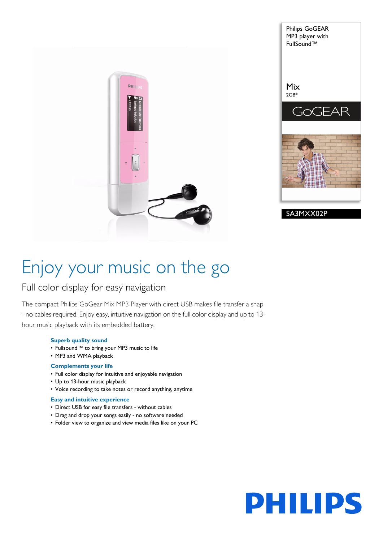



# Enjoy your music on the go

## Full color display for easy navigation

The compact Philips GoGear Mix MP3 Player with direct USB makes file transfer a snap - no cables required. Enjoy easy, intuitive navigation on the full color display and up to 13 hour music playback with its embedded battery.

#### **Superb quality sound**

- Fullsound™ to bring your MP3 music to life
- MP3 and WMA playback

### **Complements your life**

- Full color display for intuitive and enjoyable navigation
- Up to 13-hour music playback
- Voice recording to take notes or record anything, anytime

#### **Easy and intuitive experience**

- Direct USB for easy file transfers without cables
- Drag and drop your songs easily no software needed
- Folder view to organize and view media files like on your PC

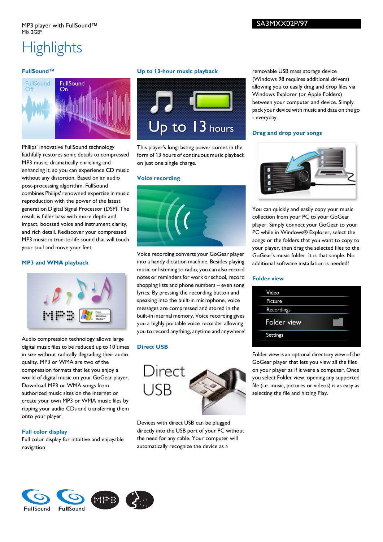## **Highlights**

## **FullSound™**



Philips' innovative FullSound technology faithfully restores sonic details to compressed MP3 music, dramatically enriching and enhancing it, so you can experience CD music without any distortion. Based on an audio post-processing algorithm, FullSound combines Philips' renowned expertise in music reproduction with the power of the latest generation Digital Signal Processor (DSP). The result is fuller bass with more depth and impact, boosted voice and instrument clarity, and rich detail. Rediscover your compressed MP3 music in true-to-life sound that will touch your soul and move your feet.

### **MP3 and WMA playback**



Audio compression technology allows large digital music files to be reduced up to 10 times in size without radically degrading their audio quality. MP3 or WMA are two of the compression formats that let you enjoy a world of digital music on your GoGear player. Download MP3 or WMA songs from authorized music sites on the Internet or create your own MP3 or WMA music files by ripping your audio CDs and transferring them onto your player.

## **Full color display**

Full color display for intuitive and enjoyable navigation

## **Up to 13-hour music playback**



This player's long-lasting power comes in the form of 13 hours of continuous music playback on just one single charge.

#### **Voice recording**



Voice recording converts your GoGear player into a handy dictation machine. Besides playing music or listening to radio, you can also record notes or reminders for work or school, record shopping lists and phone numbers – even song lyrics. By pressing the recording button and speaking into the built-in microphone, voice messages are compressed and stored in the built-in internal memory. Voice recording gives you a highly portable voice recorder allowing you to record anything, anytime and anywhere!

## **Direct USB**



Devices with direct USB can be plugged directly into the USB port of your PC without the need for any cable. Your computer will automatically recognize the device as a

removable USB mass storage device (Windows 98 requires additional drivers) allowing you to easily drag and drop files via Windows Explorer (or Apple Folders) between your computer and device. Simply pack your device with music and data on the go - everyday.

#### **Drag and drop your songs**



You can quickly and easily copy your music collection from your PC to your GoGear player. Simply connect your GoGear to your PC while in Windows® Explorer, select the songs or the folders that you want to copy to your player, then drag the selected files to the GoGear's music folder. It is that simple. No additional software installation is needed!

#### **Folder view**

Folder view is an optional directory view of the GoGear player that lets you view all the files on your player as if it were a computer. Once you select Folder view, opening any supported file (i.e. music, pictures or videos) is as easy as selecting the file and hitting Play.